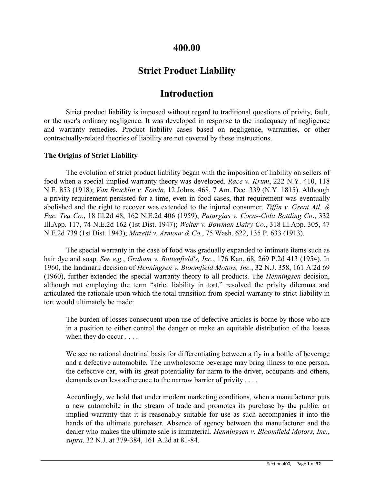# **400.00**

# **Strict Product Liability**

# **Introduction**

Strict product liability is imposed without regard to traditional questions of privity, fault, or the user's ordinary negligence. It was developed in response to the inadequacy of negligence and warranty remedies. Product liability cases based on negligence, warranties, or other contractually-related theories of liability are not covered by these instructions.

### **The Origins of Strict Liability**

The evolution of strict product liability began with the imposition of liability on sellers of food when a special implied warranty theory was developed. *Race v. Krum*, 222 N.Y. 410, 118 N.E. 853 (1918); *Van Bracklin v. Fonda*, 12 Johns. 468, 7 Am. Dec. 339 (N.Y. 1815). Although a privity requirement persisted for a time, even in food cases, that requirement was eventually abolished and the right to recover was extended to the injured consumer. *Tiffin v. Great Atl. & Pac. Tea Co.*, 18 Ill.2d 48, 162 N.E.2d 406 (1959); *Patargias v. Coca--Cola Bottling Co*., 332 Ill.App. 117, 74 N.E.2d 162 (1st Dist. 1947); *Welter v. Bowman Dairy Co.*, 318 Ill.App. 305, 47 N.E.2d 739 (1st Dist. 1943); *Mazetti v. Armour & Co.*, 75 Wash. 622, 135 P. 633 (1913).

The special warranty in the case of food was gradually expanded to intimate items such as hair dye and soap. *See e.g.*, *Graham v. Bottenfield's, Inc.*, 176 Kan. 68, 269 P.2d 413 (1954). In 1960, the landmark decision of *Henningsen v. Bloomfield Motors, Inc.*, 32 N.J. 358, 161 A.2d 69 (1960), further extended the special warranty theory to all products. The *Henningsen* decision, although not employing the term "strict liability in tort," resolved the privity dilemma and articulated the rationale upon which the total transition from special warranty to strict liability in tort would ultimately be made:

The burden of losses consequent upon use of defective articles is borne by those who are in a position to either control the danger or make an equitable distribution of the losses when they do occur . . . .

We see no rational doctrinal basis for differentiating between a fly in a bottle of beverage and a defective automobile. The unwholesome beverage may bring illness to one person, the defective car, with its great potentiality for harm to the driver, occupants and others, demands even less adherence to the narrow barrier of privity . . . .

Accordingly, we hold that under modern marketing conditions, when a manufacturer puts a new automobile in the stream of trade and promotes its purchase by the public, an implied warranty that it is reasonably suitable for use as such accompanies it into the hands of the ultimate purchaser. Absence of agency between the manufacturer and the dealer who makes the ultimate sale is immaterial. *Henningsen v. Bloomfield Motors, Inc.*, *supra,* 32 N.J. at 379-384, 161 A.2d at 81-84.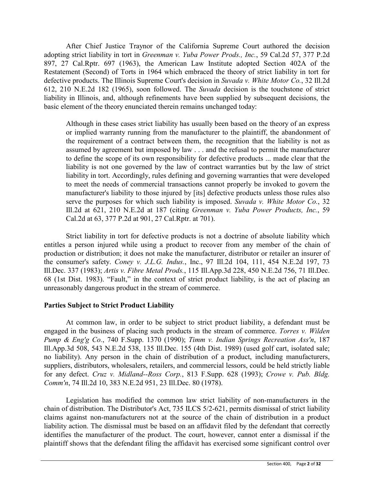After Chief Justice Traynor of the California Supreme Court authored the decision adopting strict liability in tort in *Greenman v. Yuba Power Prods., Inc.*, 59 Cal.2d 57, 377 P.2d 897, 27 Cal.Rptr. 697 (1963), the American Law Institute adopted Section 402A of the Restatement (Second) of Torts in 1964 which embraced the theory of strict liability in tort for defective products. The Illinois Supreme Court's decision in *Suvada v. White Motor Co.*, 32 Ill.2d 612, 210 N.E.2d 182 (1965), soon followed. The *Suvada* decision is the touchstone of strict liability in Illinois, and, although refinements have been supplied by subsequent decisions, the basic element of the theory enunciated therein remains unchanged today:

Although in these cases strict liability has usually been based on the theory of an express or implied warranty running from the manufacturer to the plaintiff, the abandonment of the requirement of a contract between them, the recognition that the liability is not as assumed by agreement but imposed by law . . . and the refusal to permit the manufacturer to define the scope of its own responsibility for defective products ... made clear that the liability is not one governed by the law of contract warranties but by the law of strict liability in tort. Accordingly, rules defining and governing warranties that were developed to meet the needs of commercial transactions cannot properly be invoked to govern the manufacturer's liability to those injured by [its] defective products unless those rules also serve the purposes for which such liability is imposed. *Suvada v. White Motor Co.*, 32 Ill.2d at 621, 210 N.E.2d at 187 (citing *Greenman v. Yuba Power Products, Inc.*, 59 Cal.2d at 63, 377 P.2d at 901, 27 Cal.Rptr. at 701).

Strict liability in tort for defective products is not a doctrine of absolute liability which entitles a person injured while using a product to recover from any member of the chain of production or distribution; it does not make the manufacturer, distributor or retailer an insurer of the consumer's safety. *Coney v. J.L.G. Indus.*, Inc., 97 Ill.2d 104, 111, 454 N.E.2d 197, 73 Ill.Dec. 337 (1983); *Artis v. Fibre Metal Prods.*, 115 Ill.App.3d 228, 450 N.E.2d 756, 71 Ill.Dec. 68 (1st Dist. 1983). "Fault," in the context of strict product liability, is the act of placing an unreasonably dangerous product in the stream of commerce.

# **Parties Subject to Strict Product Liability**

At common law, in order to be subject to strict product liability, a defendant must be engaged in the business of placing such products in the stream of commerce. *Torres v. Wilden Pump & Eng'g Co.*, 740 F.Supp. 1370 (1990); *Timm v. Indian Springs Recreation Ass'n*, 187 Ill.App.3d 508, 543 N.E.2d 538, 135 Ill.Dec. 155 (4th Dist. 1989) (used golf cart, isolated sale; no liability). Any person in the chain of distribution of a product, including manufacturers, suppliers, distributors, wholesalers, retailers, and commercial lessors, could be held strictly liable for any defect. *Cruz v. Midland--Ross Corp.*, 813 F.Supp. 628 (1993); *Crowe v. Pub. Bldg. Comm'n*, 74 Ill.2d 10, 383 N.E.2d 951, 23 Ill.Dec. 80 (1978).

Legislation has modified the common law strict liability of non-manufacturers in the chain of distribution. The Distributor's Act, 735 ILCS 5/2-621, permits dismissal of strict liability claims against non-manufacturers not at the source of the chain of distribution in a product liability action. The dismissal must be based on an affidavit filed by the defendant that correctly identifies the manufacturer of the product. The court, however, cannot enter a dismissal if the plaintiff shows that the defendant filing the affidavit has exercised some significant control over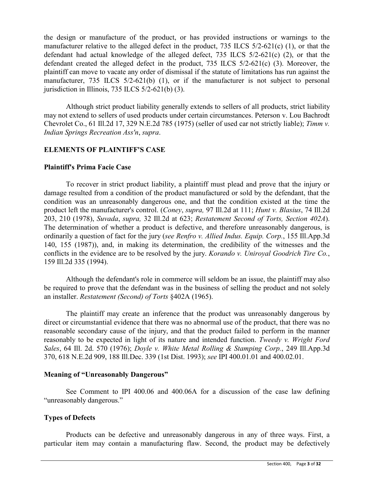the design or manufacture of the product, or has provided instructions or warnings to the manufacturer relative to the alleged defect in the product, 735 ILCS 5/2-621(c) (1), or that the defendant had actual knowledge of the alleged defect, 735 ILCS 5/2-621(c) (2), or that the defendant created the alleged defect in the product, 735 ILCS 5/2-621(c) (3). Moreover, the plaintiff can move to vacate any order of dismissal if the statute of limitations has run against the manufacturer, 735 ILCS 5/2-621(b) (1), or if the manufacturer is not subject to personal jurisdiction in Illinois,  $735$  ILCS  $5/2-621(b)$  (3).

Although strict product liability generally extends to sellers of all products, strict liability may not extend to sellers of used products under certain circumstances. Peterson v. Lou Bachrodt Chevrolet Co., 61 Ill.2d 17, 329 N.E.2d 785 (1975) (seller of used car not strictly liable); *Timm v. Indian Springs Recreation Ass'n*, *supra*.

# **ELEMENTS OF PLAINTIFF'S CASE**

# **Plaintiff's Prima Facie Case**

To recover in strict product liability, a plaintiff must plead and prove that the injury or damage resulted from a condition of the product manufactured or sold by the defendant, that the condition was an unreasonably dangerous one, and that the condition existed at the time the product left the manufacturer's control. (*Coney*, *supra,* 97 Ill.2d at 111; *Hunt v. Blasius*, 74 Ill.2d 203, 210 (1978), *Suvada*, *supra,* 32 Ill.2d at 623; *Restatement Second of Torts, Section 402A*). The determination of whether a product is defective, and therefore unreasonably dangerous, is ordinarily a question of fact for the jury (*see Renfro v. Allied Indus. Equip. Corp.*, 155 Ill.App.3d 140, 155 (1987)), and, in making its determination, the credibility of the witnesses and the conflicts in the evidence are to be resolved by the jury. *Korando v. Uniroyal Goodrich Tire Co.*, 159 Ill.2d 335 (1994).

Although the defendant's role in commerce will seldom be an issue, the plaintiff may also be required to prove that the defendant was in the business of selling the product and not solely an installer. *Restatement (Second) of Torts* §402A (1965).

The plaintiff may create an inference that the product was unreasonably dangerous by direct or circumstantial evidence that there was no abnormal use of the product, that there was no reasonable secondary cause of the injury, and that the product failed to perform in the manner reasonably to be expected in light of its nature and intended function. *Tweedy v. Wright Ford Sales*, 64 Ill. 2d. 570 (1976); *Doyle v. White Metal Rolling & Stamping Corp.*, 249 Ill.App.3d 370, 618 N.E.2d 909, 188 Ill.Dec. 339 (1st Dist. 1993); *see* IPI 400.01.01 and 400.02.01.

### **Meaning of "Unreasonably Dangerous"**

See Comment to IPI 400.06 and 400.06A for a discussion of the case law defining "unreasonably dangerous."

# **Types of Defects**

Products can be defective and unreasonably dangerous in any of three ways. First, a particular item may contain a manufacturing flaw. Second, the product may be defectively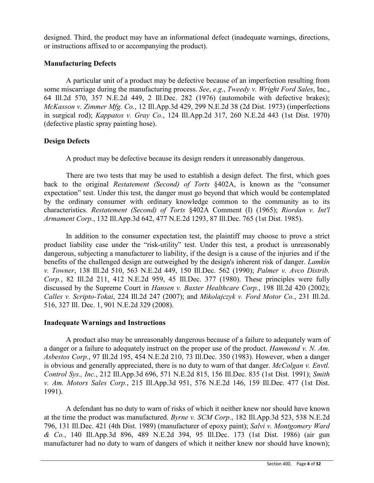designed. Third, the product may have an informational defect (inadequate warnings, directions, or instructions affixed to or accompanying the product).

# **Manufacturing Defects**

A particular unit of a product may be defective because of an imperfection resulting from some miscarriage during the manufacturing process. *See*, *e.g*., *Tweedy v. Wright Ford Sales*, Inc., 64 Ill.2d 570, 357 N.E.2d 449, 2 Ill.Dec. 282 (1976) (automobile with defective brakes); *McKasson v. Zimmer Mfg. Co.*, 12 Ill.App.3d 429, 299 N.E.2d 38 (2d Dist. 1973) (imperfections in surgical rod); *Kappatos v. Gray Co.*, 124 Ill.App.2d 317, 260 N.E.2d 443 (1st Dist. 1970) (defective plastic spray painting hose).

# **Design Defects**

A product may be defective because its design renders it unreasonably dangerous.

There are two tests that may be used to establish a design defect. The first, which goes back to the original *Restatement (Second) of Torts* §402A, is known as the "consumer expectation" test. Under this test, the danger must go beyond that which would be contemplated by the ordinary consumer with ordinary knowledge common to the community as to its characteristics. *Restatement (Second) of Torts* §402A Comment (I) (1965); *Riordan v. Int'l Armament Corp.*, 132 Ill.App.3d 642, 477 N.E.2d 1293, 87 Ill.Dec. 765 (1st Dist. 1985).

In addition to the consumer expectation test, the plaintiff may choose to prove a strict product liability case under the "risk-utility" test. Under this test, a product is unreasonably dangerous, subjecting a manufacturer to liability, if the design is a cause of the injuries and if the benefits of the challenged design are outweighed by the design's inherent risk of danger. *Lamkin v. Towner*, 138 Ill.2d 510, 563 N.E.2d 449, 150 Ill.Dec. 562 (1990); *Palmer v. Avco Distrib. Corp.*, 82 Ill.2d 211, 412 N.E.2d 959, 45 Ill.Dec. 377 (1980). These principles were fully discussed by the Supreme Court in *Hansen v. Baxter Healthcare Corp.*, 198 Ill.2d 420 (2002); *Calles v. Scripto-Tokai*, 224 Ill.2d 247 (2007); and *Mikolajczyk v. Ford Motor Co.*, 231 Ill.2d. 516, 327 Ill. Dec. 1, 901 N.E.2d 329 (2008).

# **Inadequate Warnings and Instructions**

A product also may be unreasonably dangerous because of a failure to adequately warn of a danger or a failure to adequately instruct on the proper use of the product. *Hammond v. N. Am. Asbestos Corp.*, 97 Ill.2d 195, 454 N.E.2d 210, 73 Ill.Dec. 350 (1983). However, when a danger is obvious and generally appreciated, there is no duty to warn of that danger. *McColgan v. Envtl. Control Sys., Inc.*, 212 Ill.App.3d 696, 571 N.E.2d 815, 156 Ill.Dec. 835 (1st Dist. 1991); *Smith v. Am. Motors Sales Corp.*, 215 Ill.App.3d 951, 576 N.E.2d 146, 159 Ill.Dec. 477 (1st Dist. 1991).

A defendant has no duty to warn of risks of which it neither knew nor should have known at the time the product was manufactured. *Byrne v. SCM Corp.*, 182 Ill.App.3d 523, 538 N.E.2d 796, 131 Ill.Dec. 421 (4th Dist. 1989) (manufacturer of epoxy paint); *Salvi v. Montgomery Ward & Co.*, 140 Ill.App.3d 896, 489 N.E.2d 394, 95 Ill.Dec. 173 (1st Dist. 1986) (air gun manufacturer had no duty to warn of dangers of which it neither knew nor should have known);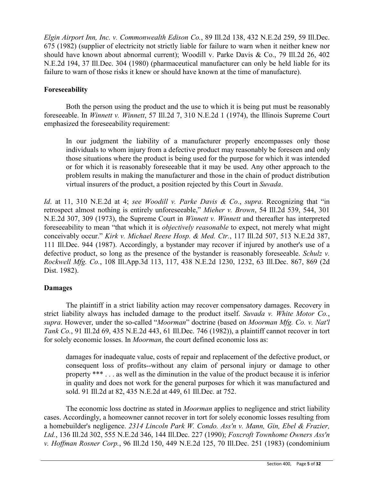*Elgin Airport Inn, Inc. v. Commonwealth Edison Co.*, 89 Ill.2d 138, 432 N.E.2d 259, 59 Ill.Dec. 675 (1982) (supplier of electricity not strictly liable for failure to warn when it neither knew nor should have known about abnormal current); Woodill v. Parke Davis & Co., 79 Ill.2d 26, 402 N.E.2d 194, 37 Ill.Dec. 304 (1980) (pharmaceutical manufacturer can only be held liable for its failure to warn of those risks it knew or should have known at the time of manufacture).

# **Foreseeability**

Both the person using the product and the use to which it is being put must be reasonably foreseeable. In *Winnett v. Winnett*, 57 Ill.2d 7, 310 N.E.2d 1 (1974), the Illinois Supreme Court emphasized the foreseeability requirement:

In our judgment the liability of a manufacturer properly encompasses only those individuals to whom injury from a defective product may reasonably be foreseen and only those situations where the product is being used for the purpose for which it was intended or for which it is reasonably foreseeable that it may be used. Any other approach to the problem results in making the manufacturer and those in the chain of product distribution virtual insurers of the product, a position rejected by this Court in *Suvada*.

*Id*. at 11, 310 N.E.2d at 4; *see Woodill v. Parke Davis & Co.*, *supra*. Recognizing that "in retrospect almost nothing is entirely unforeseeable," *Mieher v. Brown*, 54 Ill.2d 539, 544, 301 N.E.2d 307, 309 (1973), the Supreme Court in *Winnett v. Winnett* and thereafter has interpreted foreseeability to mean "that which it is *objectively reasonable* to expect, not merely what might conceivably occur." *Kirk v. Michael Reese Hosp. & Med. Ctr.*, 117 Ill.2d 507, 513 N.E.2d 387, 111 Ill.Dec. 944 (1987). Accordingly, a bystander may recover if injured by another's use of a defective product, so long as the presence of the bystander is reasonably foreseeable. *Schulz v. Rockwell Mfg. Co.*, 108 Ill.App.3d 113, 117, 438 N.E.2d 1230, 1232, 63 Ill.Dec. 867, 869 (2d Dist. 1982).

# **Damages**

The plaintiff in a strict liability action may recover compensatory damages. Recovery in strict liability always has included damage to the product itself. *Suvada v. White Motor Co.*, *supra*. However, under the so-called "*Moorman*" doctrine (based on *Moorman Mfg. Co. v. Nat'l Tank Co.*, 91 Ill.2d 69, 435 N.E.2d 443, 61 Ill.Dec. 746 (1982)), a plaintiff cannot recover in tort for solely economic losses. In *Moorman*, the court defined economic loss as:

damages for inadequate value, costs of repair and replacement of the defective product, or consequent loss of profits--without any claim of personal injury or damage to other property \*\*\* . . . as well as the diminution in the value of the product because it is inferior in quality and does not work for the general purposes for which it was manufactured and sold. 91 Ill.2d at 82, 435 N.E.2d at 449, 61 Ill.Dec. at 752.

The economic loss doctrine as stated in *Moorman* applies to negligence and strict liability cases. Accordingly, a homeowner cannot recover in tort for solely economic losses resulting from a homebuilder's negligence. *2314 Lincoln Park W. Condo. Ass'n v. Mann, Gin, Ebel & Frazier, Ltd.*, 136 Ill.2d 302, 555 N.E.2d 346, 144 Ill.Dec. 227 (1990); *Foxcroft Townhome Owners Ass'n v. Hoffman Rosner Corp.*, 96 Ill.2d 150, 449 N.E.2d 125, 70 Ill.Dec. 251 (1983) (condominium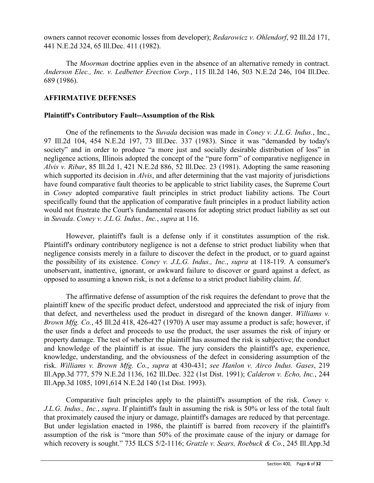owners cannot recover economic losses from developer); *Redarowicz v. Ohlendorf*, 92 Ill.2d 171, 441 N.E.2d 324, 65 Ill.Dec. 411 (1982).

The *Moorman* doctrine applies even in the absence of an alternative remedy in contract. *Anderson Elec., Inc. v. Ledbetter Erection Corp.*, 115 Ill.2d 146, 503 N.E.2d 246, 104 Ill.Dec. 689 (1986).

# **AFFIRMATIVE DEFENSES**

# **Plaintiff's Contributory Fault--Assumption of the Risk**

One of the refinements to the *Suvada* decision was made in *Coney v. J.L.G. Indus.*, Inc., 97 Ill.2d 104, 454 N.E.2d 197, 73 Ill.Dec. 337 (1983). Since it was "demanded by today's society" and in order to produce "a more just and socially desirable distribution of loss" in negligence actions, Illinois adopted the concept of the "pure form" of comparative negligence in *Alvis v. Ribar*, 85 Ill.2d 1, 421 N.E.2d 886, 52 Ill.Dec. 23 (1981). Adopting the same reasoning which supported its decision in *Alvis*, and after determining that the vast majority of jurisdictions have found comparative fault theories to be applicable to strict liability cases, the Supreme Court in *Coney* adopted comparative fault principles in strict product liability actions. The Court specifically found that the application of comparative fault principles in a product liability action would not frustrate the Court's fundamental reasons for adopting strict product liability as set out in *Suvada*. *Coney v. J.L.G. Indus., Inc.*, *supra* at 116.

However, plaintiff's fault is a defense only if it constitutes assumption of the risk. Plaintiff's ordinary contributory negligence is not a defense to strict product liability when that negligence consists merely in a failure to discover the defect in the product, or to guard against the possibility of its existence. *Coney v. J.L.G. Indus., Inc.*, *supra* at 118-119. A consumer's unobservant, inattentive, ignorant, or awkward failure to discover or guard against a defect, as opposed to assuming a known risk, is not a defense to a strict product liability claim. *Id*.

The affirmative defense of assumption of the risk requires the defendant to prove that the plaintiff knew of the specific product defect, understood and appreciated the risk of injury from that defect, and nevertheless used the product in disregard of the known danger. *Williams v. Brown Mfg. Co.*, 45 Ill.2d 418, 426-427 (1970) A user may assume a product is safe; however, if the user finds a defect and proceeds to use the product, the user assumes the risk of injury or property damage. The test of whether the plaintiff has assumed the risk is subjective; the conduct and knowledge of the plaintiff is at issue. The jury considers the plaintiff's age, experience, knowledge, understanding, and the obviousness of the defect in considering assumption of the risk. *Williams v. Brown Mfg. Co.*, *supra* at 430-431; *see Hanlon v. Airco Indus. Gases*, 219 Ill.App.3d 777, 579 N.E.2d 1136, 162 Ill.Dec. 322 (1st Dist. 1991); *Calderon v. Echo, Inc.*, 244 Ill.App.3d 1085, 1091,614 N.E.2d 140 (1st Dist. 1993).

Comparative fault principles apply to the plaintiff's assumption of the risk. *Coney v. J.L.G. Indus., Inc.*, *supra*. If plaintiff's fault in assuming the risk is 50% or less of the total fault that proximately caused the injury or damage, plaintiff's damages are reduced by that percentage. But under legislation enacted in 1986, the plaintiff is barred from recovery if the plaintiff's assumption of the risk is "more than 50% of the proximate cause of the injury or damage for which recovery is sought." 735 ILCS 5/2-1116; *Gratzle v. Sears, Roebuck & Co.*, 245 Ill.App.3d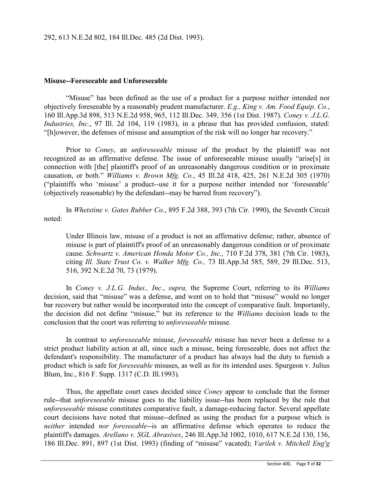### **Misuse--Foreseeable and Unforeseeable**

"Misuse" has been defined as the use of a product for a purpose neither intended nor objectively foreseeable by a reasonably prudent manufacturer. *E.g., King v. Am. Food Equip. Co.*, 160 Ill.App.3d 898, 513 N.E.2d 958, 965, 112 Ill.Dec. 349, 356 (1st Dist. 1987). *Coney v. J.L.G. Industries, Inc.*, 97 Ill. 2d 104, 119 (1983), in a phrase that has provided confusion, stated: "[h]owever, the defenses of misuse and assumption of the risk will no longer bar recovery."

Prior to *Coney*, an *unforeseeable* misuse of the product by the plaintiff was not recognized as an affirmative defense. The issue of unforeseeable misuse usually "arise[s] in connection with [the] plaintiff's proof of an unreasonably dangerous condition or in proximate causation, or both." *Williams v. Brown Mfg. Co.*, 45 Ill.2d 418, 425, 261 N.E.2d 305 (1970) ("plaintiffs who 'misuse' a product--use it for a purpose neither intended nor 'foreseeable' (objectively reasonable) by the defendant--may be barred from recovery").

In *Whetstine v. Gates Rubber Co.*, 895 F.2d 388, 393 (7th Cir. 1990), the Seventh Circuit noted:

Under Illinois law, misuse of a product is not an affirmative defense; rather, absence of misuse is part of plaintiff's proof of an unreasonably dangerous condition or of proximate cause. *Schwartz v. American Honda Motor Co., Inc.,* 710 F.2d 378, 381 (7th Cir. 1983), citing *Ill. State Trust Co. v. Walker Mfg. Co.,* 73 Ill.App.3d 585, 589, 29 Ill.Dec. 513, 516, 392 N.E.2d 70, 73 (1979).

In *Coney v. J.L.G. Indus., Inc.*, *supra,* the Supreme Court, referring to its *Williams* decision, said that "misuse" was a defense, and went on to hold that "misuse" would no longer bar recovery but rather would be incorporated into the concept of comparative fault. Importantly, the decision did not define "misuse," but its reference to the *Williams* decision leads to the conclusion that the court was referring to *unforeseeable* misuse.

In contrast to *unforeseeable* misuse, *foreseeable* misuse has never been a defense to a strict product liability action at all, since such a misuse, being foreseeable, does not affect the defendant's responsibility. The manufacturer of a product has always had the duty to furnish a product which is safe for *foreseeable* misuses, as well as for its intended uses. Spurgeon v. Julius Blum, Inc., 816 F. Supp. 1317 (C.D. Ill.1993).

Thus, the appellate court cases decided since *Coney* appear to conclude that the former rule--that *unforeseeable* misuse goes to the liability issue--has been replaced by the rule that *unforeseeable* misuse constitutes comparative fault, a damage-reducing factor. Several appellate court decisions have noted that misuse--defined as using the product for a purpose which is *neither* intended *nor foreseeable*--is an affirmative defense which operates to reduce the plaintiff's damages. *Arellano v. SGL Abrasives*, 246 Ill.App.3d 1002, 1010, 617 N.E.2d 130, 136, 186 Ill.Dec. 891, 897 (1st Dist. 1993) (finding of "misuse" vacated); *Varilek v. Mitchell Eng'g*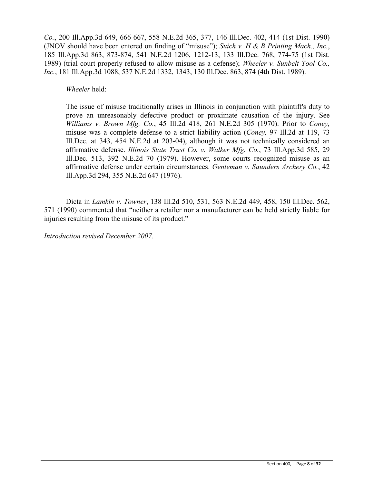*Co.*, 200 Ill.App.3d 649, 666-667, 558 N.E.2d 365, 377, 146 Ill.Dec. 402, 414 (1st Dist. 1990) (JNOV should have been entered on finding of "misuse"); *Suich v. H & B Printing Mach., Inc.*, 185 Ill.App.3d 863, 873-874, 541 N.E.2d 1206, 1212-13, 133 Ill.Dec. 768, 774-75 (1st Dist. 1989) (trial court properly refused to allow misuse as a defense); *Wheeler v. Sunbelt Tool Co., Inc.*, 181 Ill.App.3d 1088, 537 N.E.2d 1332, 1343, 130 Ill.Dec. 863, 874 (4th Dist. 1989).

*Wheeler* held:

The issue of misuse traditionally arises in Illinois in conjunction with plaintiff's duty to prove an unreasonably defective product or proximate causation of the injury. See *Williams v. Brown Mfg. Co.*, 45 Ill.2d 418, 261 N.E.2d 305 (1970). Prior to *Coney,* misuse was a complete defense to a strict liability action (*Coney,* 97 Ill.2d at 119, 73 Ill.Dec. at 343, 454 N.E.2d at 203-04), although it was not technically considered an affirmative defense. *Illinois State Trust Co. v. Walker Mfg. Co.*, 73 Ill.App.3d 585, 29 Ill.Dec. 513, 392 N.E.2d 70 (1979). However, some courts recognized misuse as an affirmative defense under certain circumstances. *Genteman v. Saunders Archery Co.*, 42 Ill.App.3d 294, 355 N.E.2d 647 (1976).

Dicta in *Lamkin v. Towner*, 138 Ill.2d 510, 531, 563 N.E.2d 449, 458, 150 Ill.Dec. 562, 571 (1990) commented that "neither a retailer nor a manufacturer can be held strictly liable for injuries resulting from the misuse of its product."

*Introduction revised December 2007.*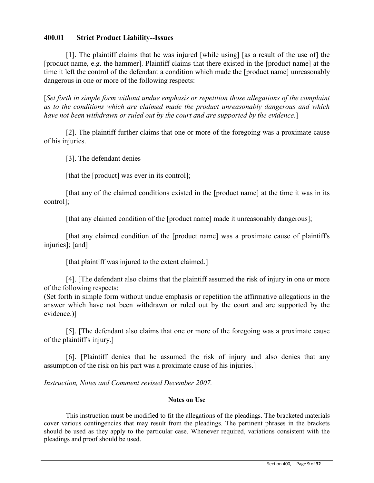# **400.01 Strict Product Liability--Issues**

[1]. The plaintiff claims that he was injured [while using] [as a result of the use of] the [product name, e.g. the hammer]. Plaintiff claims that there existed in the [product name] at the time it left the control of the defendant a condition which made the [product name] unreasonably dangerous in one or more of the following respects:

[*Set forth in simple form without undue emphasis or repetition those allegations of the complaint as to the conditions which are claimed made the product unreasonably dangerous and which have not been withdrawn or ruled out by the court and are supported by the evidence*.]

[2]. The plaintiff further claims that one or more of the foregoing was a proximate cause of his injuries.

[3]. The defendant denies

[that the [product] was ever in its control];

[that any of the claimed conditions existed in the [product name] at the time it was in its control];

[that any claimed condition of the [product name] made it unreasonably dangerous];

[that any claimed condition of the [product name] was a proximate cause of plaintiff's injuries]; [and]

[that plaintiff was injured to the extent claimed.]

[4]. [The defendant also claims that the plaintiff assumed the risk of injury in one or more of the following respects:

(Set forth in simple form without undue emphasis or repetition the affirmative allegations in the answer which have not been withdrawn or ruled out by the court and are supported by the evidence.)]

[5]. [The defendant also claims that one or more of the foregoing was a proximate cause of the plaintiff's injury.]

[6]. [Plaintiff denies that he assumed the risk of injury and also denies that any assumption of the risk on his part was a proximate cause of his injuries.]

*Instruction, Notes and Comment revised December 2007.*

### **Notes on Use**

This instruction must be modified to fit the allegations of the pleadings. The bracketed materials cover various contingencies that may result from the pleadings. The pertinent phrases in the brackets should be used as they apply to the particular case. Whenever required, variations consistent with the pleadings and proof should be used.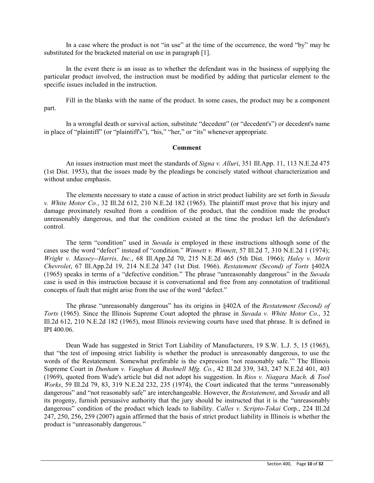In a case where the product is not "in use" at the time of the occurrence, the word "by" may be substituted for the bracketed material on use in paragraph [1].

In the event there is an issue as to whether the defendant was in the business of supplying the particular product involved, the instruction must be modified by adding that particular element to the specific issues included in the instruction.

Fill in the blanks with the name of the product. In some cases, the product may be a component part.

In a wrongful death or survival action, substitute "decedent" (or "decedent's") or decedent's name in place of "plaintiff" (or "plaintiff's"), "his," "her," or "its" whenever appropriate.

#### **Comment**

An issues instruction must meet the standards of *Signa v. Alluri*, 351 Ill.App. 11, 113 N.E.2d 475 (1st Dist. 1953), that the issues made by the pleadings be concisely stated without characterization and without undue emphasis.

The elements necessary to state a cause of action in strict product liability are set forth in *Suvada v. White Motor Co.*, 32 Ill.2d 612, 210 N.E.2d 182 (1965). The plaintiff must prove that his injury and damage proximately resulted from a condition of the product, that the condition made the product unreasonably dangerous, and that the condition existed at the time the product left the defendant's control.

The term "condition" used in *Suvada* is employed in these instructions although some of the cases use the word "defect" instead of "condition." *Winnett v. Winnett*, 57 Ill.2d 7, 310 N.E.2d 1 (1974); *Wright v. Massey--Harris, Inc.*, 68 Ill.App.2d 70, 215 N.E.2d 465 (5th Dist. 1966); *Haley v. Merit Chevrolet*, 67 Ill.App.2d 19, 214 N.E.2d 347 (1st Dist. 1966). *Restatement (Second) of Torts* §402A (1965) speaks in terms of a "defective condition." The phrase "unreasonably dangerous" in the *Suvada* case is used in this instruction because it is conversational and free from any connotation of traditional concepts of fault that might arise from the use of the word "defect."

The phrase "unreasonably dangerous" has its origins in §402A of the *Restatement (Second) of Torts* (1965). Since the Illinois Supreme Court adopted the phrase in *Suvada v. White Motor Co.*, 32 Ill.2d 612, 210 N.E.2d 182 (1965), most Illinois reviewing courts have used that phrase. It is defined in IPI 400.06.

Dean Wade has suggested in Strict Tort Liability of Manufacturers, 19 S.W. L.J. 5, 15 (1965), that "the test of imposing strict liability is whether the product is unreasonably dangerous, to use the words of the Restatement. Somewhat preferable is the expression 'not reasonably safe.'" The Illinois Supreme Court in *Dunham v. Vaughan & Bushnell Mfg. Co.*, 42 Ill.2d 339, 343, 247 N.E.2d 401, 403 (1969), quoted from Wade's article but did not adopt his suggestion. In *Rios v. Niagara Mach. & Tool Works*, 59 Ill.2d 79, 83, 319 N.E.2d 232, 235 (1974), the Court indicated that the terms "unreasonably dangerous" and "not reasonably safe" are interchangeable. However, the *Restatement*, and *Suvada* and all its progeny, furnish persuasive authority that the jury should be instructed that it is the "unreasonably dangerous" condition of the product which leads to liability. *Calles v. Scripto-Tokai* Corp., 224 Ill.2d 247, 250, 256, 259 (2007) again affirmed that the basis of strict product liability in Illinois is whether the product is "unreasonably dangerous."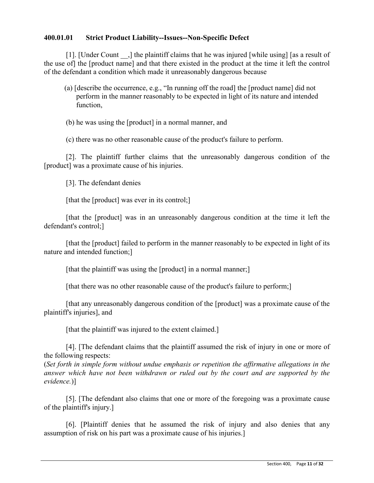# **400.01.01 Strict Product Liability--Issues--Non-Specific Defect**

[1]. [Under Count, ] the plaintiff claims that he was injured [while using] [as a result of the use of] the [product name] and that there existed in the product at the time it left the control of the defendant a condition which made it unreasonably dangerous because

 (a) [describe the occurrence, e.g., "In running off the road] the [product name] did not perform in the manner reasonably to be expected in light of its nature and intended function,

(b) he was using the [product] in a normal manner, and

(c) there was no other reasonable cause of the product's failure to perform.

[2]. The plaintiff further claims that the unreasonably dangerous condition of the [product] was a proximate cause of his injuries.

[3]. The defendant denies

[that the [product] was ever in its control;]

[that the [product] was in an unreasonably dangerous condition at the time it left the defendant's control;]

[that the [product] failed to perform in the manner reasonably to be expected in light of its nature and intended function;]

[that the plaintiff was using the [product] in a normal manner;]

[that there was no other reasonable cause of the product's failure to perform;]

[that any unreasonably dangerous condition of the [product] was a proximate cause of the plaintiff's injuries], and

[that the plaintiff was injured to the extent claimed.]

[4]. [The defendant claims that the plaintiff assumed the risk of injury in one or more of the following respects:

(*Set forth in simple form without undue emphasis or repetition the affirmative allegations in the answer which have not been withdrawn or ruled out by the court and are supported by the evidence.*)]

[5]. [The defendant also claims that one or more of the foregoing was a proximate cause of the plaintiff's injury.]

[6]. [Plaintiff denies that he assumed the risk of injury and also denies that any assumption of risk on his part was a proximate cause of his injuries.]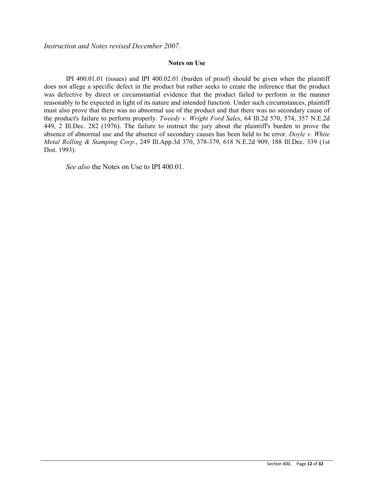*Instruction and Notes revised December 2007.*

#### **Notes on Use**

IPI 400.01.01 (issues) and IPI 400.02.01 (burden of proof) should be given when the plaintiff does not allege a specific defect in the product but rather seeks to create the inference that the product was defective by direct or circumstantial evidence that the product failed to perform in the manner reasonably to be expected in light of its nature and intended function. Under such circumstances, plaintiff must also prove that there was no abnormal use of the product and that there was no secondary cause of the product's failure to perform properly. *Tweedy v. Wright Ford Sales*, 64 Ill.2d 570, 574, 357 N.E.2d 449, 2 Ill.Dec. 282 (1976). The failure to instruct the jury about the plaintiff's burden to prove the absence of abnormal use and the absence of secondary causes has been held to be error. *Doyle v. White Metal Rolling & Stamping Corp.*, 249 Ill.App.3d 370, 378-379, 618 N.E.2d 909, 188 Ill.Dec. 339 (1st Dist. 1993).

*See also* the Notes on Use to IPI 400.01.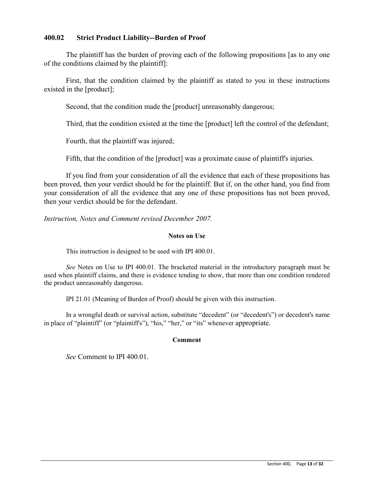# **400.02 Strict Product Liability--Burden of Proof**

The plaintiff has the burden of proving each of the following propositions [as to any one of the conditions claimed by the plaintiff]:

First, that the condition claimed by the plaintiff as stated to you in these instructions existed in the [product];

Second, that the condition made the [product] unreasonably dangerous;

Third, that the condition existed at the time the [product] left the control of the defendant;

Fourth, that the plaintiff was injured;

Fifth, that the condition of the [product] was a proximate cause of plaintiff's injuries.

If you find from your consideration of all the evidence that each of these propositions has been proved, then your verdict should be for the plaintiff. But if, on the other hand, you find from your consideration of all the evidence that any one of these propositions has not been proved, then your verdict should be for the defendant.

*Instruction, Notes and Comment revised December 2007.* 

### **Notes on Use**

This instruction is designed to be used with IPI 400.01.

*See* Notes on Use to IPI 400.01. The bracketed material in the introductory paragraph must be used when plaintiff claims, and there is evidence tending to show, that more than one condition rendered the product unreasonably dangerous.

IPI 21.01 (Meaning of Burden of Proof) should be given with this instruction.

 In a wrongful death or survival action, substitute "decedent" (or "decedent's") or decedent's name in place of "plaintiff" (or "plaintiff's"), "his," "her," or "its" whenever appropriate.

### **Comment**

*See* Comment to IPI 400.01.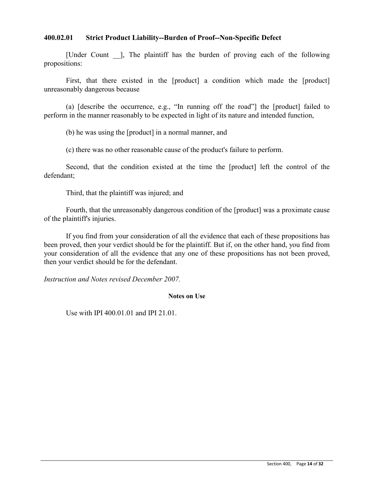### **400.02.01 Strict Product Liability--Burden of Proof--Non-Specific Defect**

[Under Count ]. The plaintiff has the burden of proving each of the following propositions:

First, that there existed in the [product] a condition which made the [product] unreasonably dangerous because

(a) [describe the occurrence, e.g., "In running off the road"] the [product] failed to perform in the manner reasonably to be expected in light of its nature and intended function,

(b) he was using the [product] in a normal manner, and

(c) there was no other reasonable cause of the product's failure to perform.

Second, that the condition existed at the time the [product] left the control of the defendant;

Third, that the plaintiff was injured; and

Fourth, that the unreasonably dangerous condition of the [product] was a proximate cause of the plaintiff's injuries.

If you find from your consideration of all the evidence that each of these propositions has been proved, then your verdict should be for the plaintiff. But if, on the other hand, you find from your consideration of all the evidence that any one of these propositions has not been proved, then your verdict should be for the defendant.

*Instruction and Notes revised December 2007.* 

### **Notes on Use**

Use with IPI 400.01.01 and IPI 21.01.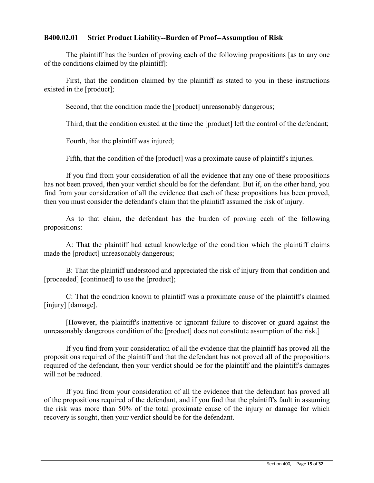# **B400.02.01 Strict Product Liability--Burden of Proof--Assumption of Risk**

The plaintiff has the burden of proving each of the following propositions [as to any one of the conditions claimed by the plaintiff]:

First, that the condition claimed by the plaintiff as stated to you in these instructions existed in the [product];

Second, that the condition made the [product] unreasonably dangerous;

Third, that the condition existed at the time the [product] left the control of the defendant;

Fourth, that the plaintiff was injured;

Fifth, that the condition of the [product] was a proximate cause of plaintiff's injuries.

If you find from your consideration of all the evidence that any one of these propositions has not been proved, then your verdict should be for the defendant. But if, on the other hand, you find from your consideration of all the evidence that each of these propositions has been proved, then you must consider the defendant's claim that the plaintiff assumed the risk of injury.

As to that claim, the defendant has the burden of proving each of the following propositions:

A: That the plaintiff had actual knowledge of the condition which the plaintiff claims made the [product] unreasonably dangerous;

B: That the plaintiff understood and appreciated the risk of injury from that condition and [proceeded] [continued] to use the [product];

C: That the condition known to plaintiff was a proximate cause of the plaintiff's claimed [injury] [damage].

[However, the plaintiff's inattentive or ignorant failure to discover or guard against the unreasonably dangerous condition of the [product] does not constitute assumption of the risk.]

If you find from your consideration of all the evidence that the plaintiff has proved all the propositions required of the plaintiff and that the defendant has not proved all of the propositions required of the defendant, then your verdict should be for the plaintiff and the plaintiff's damages will not be reduced.

If you find from your consideration of all the evidence that the defendant has proved all of the propositions required of the defendant, and if you find that the plaintiff's fault in assuming the risk was more than 50% of the total proximate cause of the injury or damage for which recovery is sought, then your verdict should be for the defendant.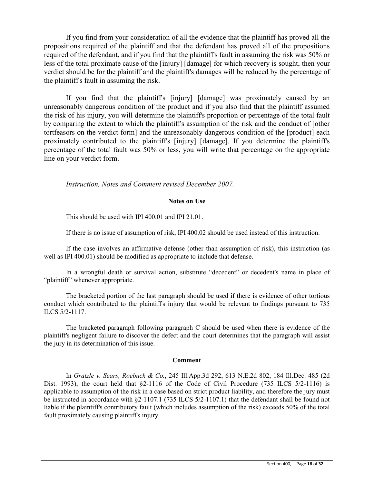If you find from your consideration of all the evidence that the plaintiff has proved all the propositions required of the plaintiff and that the defendant has proved all of the propositions required of the defendant, and if you find that the plaintiff's fault in assuming the risk was 50% or less of the total proximate cause of the [injury] [damage] for which recovery is sought, then your verdict should be for the plaintiff and the plaintiff's damages will be reduced by the percentage of the plaintiff's fault in assuming the risk.

If you find that the plaintiff's [injury] [damage] was proximately caused by an unreasonably dangerous condition of the product and if you also find that the plaintiff assumed the risk of his injury, you will determine the plaintiff's proportion or percentage of the total fault by comparing the extent to which the plaintiff's assumption of the risk and the conduct of [other tortfeasors on the verdict form] and the unreasonably dangerous condition of the [product] each proximately contributed to the plaintiff's [injury] [damage]. If you determine the plaintiff's percentage of the total fault was 50% or less, you will write that percentage on the appropriate line on your verdict form.

*Instruction, Notes and Comment revised December 2007.* 

### **Notes on Use**

This should be used with IPI 400.01 and IPI 21.01.

If there is no issue of assumption of risk, IPI 400.02 should be used instead of this instruction.

If the case involves an affirmative defense (other than assumption of risk), this instruction (as well as IPI 400.01) should be modified as appropriate to include that defense.

In a wrongful death or survival action, substitute "decedent" or decedent's name in place of "plaintiff" whenever appropriate.

The bracketed portion of the last paragraph should be used if there is evidence of other tortious conduct which contributed to the plaintiff's injury that would be relevant to findings pursuant to 735 ILCS 5/2-1117.

The bracketed paragraph following paragraph C should be used when there is evidence of the plaintiff's negligent failure to discover the defect and the court determines that the paragraph will assist the jury in its determination of this issue.

### **Comment**

In *Gratzle v. Sears, Roebuck & Co.*, 245 Ill.App.3d 292, 613 N.E.2d 802, 184 Ill.Dec. 485 (2d Dist. 1993), the court held that  $\S2-1116$  of the Code of Civil Procedure (735 ILCS  $5/2-1116$ ) is applicable to assumption of the risk in a case based on strict product liability, and therefore the jury must be instructed in accordance with §2-1107.1 (735 ILCS 5/2-1107.1) that the defendant shall be found not liable if the plaintiff's contributory fault (which includes assumption of the risk) exceeds 50% of the total fault proximately causing plaintiff's injury.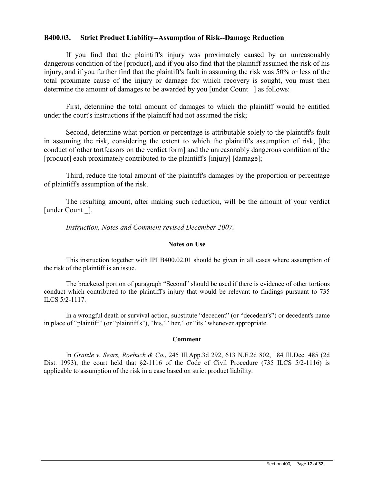### **B400.03. Strict Product Liability--Assumption of Risk--Damage Reduction**

If you find that the plaintiff's injury was proximately caused by an unreasonably dangerous condition of the [product], and if you also find that the plaintiff assumed the risk of his injury, and if you further find that the plaintiff's fault in assuming the risk was 50% or less of the total proximate cause of the injury or damage for which recovery is sought, you must then determine the amount of damages to be awarded by you [under Count ] as follows:

First, determine the total amount of damages to which the plaintiff would be entitled under the court's instructions if the plaintiff had not assumed the risk;

Second, determine what portion or percentage is attributable solely to the plaintiff's fault in assuming the risk, considering the extent to which the plaintiff's assumption of risk, [the conduct of other tortfeasors on the verdict form] and the unreasonably dangerous condition of the [product] each proximately contributed to the plaintiff's [injury] [damage];

Third, reduce the total amount of the plaintiff's damages by the proportion or percentage of plaintiff's assumption of the risk.

The resulting amount, after making such reduction, will be the amount of your verdict [under Count ].

*Instruction, Notes and Comment revised December 2007.* 

### **Notes on Use**

This instruction together with IPI B400.02.01 should be given in all cases where assumption of the risk of the plaintiff is an issue.

 The bracketed portion of paragraph "Second" should be used if there is evidence of other tortious conduct which contributed to the plaintiff's injury that would be relevant to findings pursuant to 735 ILCS 5/2-1117.

In a wrongful death or survival action, substitute "decedent" (or "decedent's") or decedent's name in place of "plaintiff" (or "plaintiff's"), "his," "her," or "its" whenever appropriate.

### **Comment**

In *Gratzle v. Sears, Roebuck & Co.*, 245 Ill.App.3d 292, 613 N.E.2d 802, 184 Ill.Dec. 485 (2d Dist. 1993), the court held that  $\S2-1116$  of the Code of Civil Procedure (735 ILCS  $5/2-1116$ ) is applicable to assumption of the risk in a case based on strict product liability.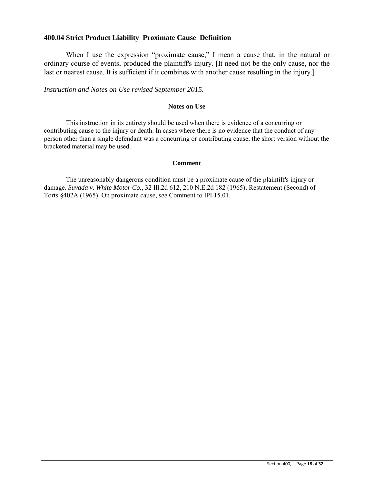### **400.04 Strict Product Liability**–**Proximate Cause**–**Definition**

When I use the expression "proximate cause," I mean a cause that, in the natural or ordinary course of events, produced the plaintiff's injury. [It need not be the only cause, nor the last or nearest cause. It is sufficient if it combines with another cause resulting in the injury.

*Instruction and Notes on Use revised September 2015.* 

### **Notes on Use**

This instruction in its entirety should be used when there is evidence of a concurring or contributing cause to the injury or death. In cases where there is no evidence that the conduct of any person other than a single defendant was a concurring or contributing cause, the short version without the bracketed material may be used.

#### **Comment**

The unreasonably dangerous condition must be a proximate cause of the plaintiff's injury or damage. *Suvada v. White Motor Co.*, 32 Ill.2d 612, 210 N.E.2d 182 (1965); Restatement (Second) of Torts §402A (1965). On proximate cause, *see* Comment to IPI 15.01.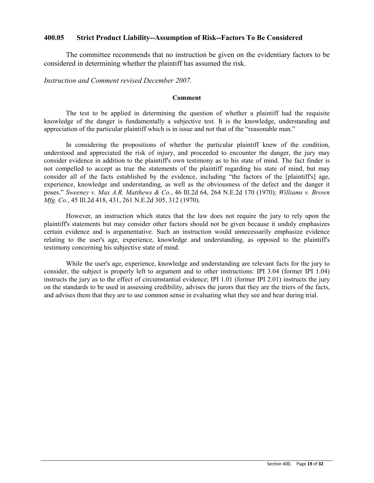### **400.05 Strict Product Liability--Assumption of Risk--Factors To Be Considered**

The committee recommends that no instruction be given on the evidentiary factors to be considered in determining whether the plaintiff has assumed the risk.

*Instruction and Comment revised December 2007.*

### **Comment**

The test to be applied in determining the question of whether a plaintiff had the requisite knowledge of the danger is fundamentally a subjective test. It is the knowledge, understanding and appreciation of the particular plaintiff which is in issue and not that of the "reasonable man."

In considering the propositions of whether the particular plaintiff knew of the condition, understood and appreciated the risk of injury, and proceeded to encounter the danger, the jury may consider evidence in addition to the plaintiff's own testimony as to his state of mind. The fact finder is not compelled to accept as true the statements of the plaintiff regarding his state of mind, but may consider all of the facts established by the evidence, including "the factors of the [plaintiff's] age, experience, knowledge and understanding, as well as the obviousness of the defect and the danger it poses." *Sweeney v. Max A.R. Matthews & Co.*, 46 Ill.2d 64, 264 N.E.2d 170 (1970); *Williams v. Brown Mfg. Co.*, 45 Ill.2d 418, 431, 261 N.E.2d 305, 312 (1970).

However, an instruction which states that the law does not require the jury to rely upon the plaintiff's statements but may consider other factors should not be given because it unduly emphasizes certain evidence and is argumentative. Such an instruction would unnecessarily emphasize evidence relating to the user's age, experience, knowledge and understanding, as opposed to the plaintiff's testimony concerning his subjective state of mind.

While the user's age, experience, knowledge and understanding are relevant facts for the jury to consider, the subject is properly left to argument and to other instructions: IPI 3.04 (former IPI 1.04) instructs the jury as to the effect of circumstantial evidence; IPI 1.01 (former IPI 2.01) instructs the jury on the standards to be used in assessing credibility, advises the jurors that they are the triers of the facts, and advises them that they are to use common sense in evaluating what they see and hear during trial.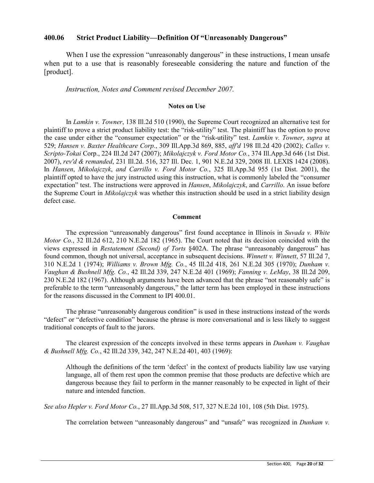### **400.06 Strict Product Liability—Definition Of "Unreasonably Dangerous"**

When I use the expression "unreasonably dangerous" in these instructions, I mean unsafe when put to a use that is reasonably foreseeable considering the nature and function of the [product].

### *Instruction, Notes and Comment revised December 2007.*

#### **Notes on Use**

In *Lamkin v. Towner*, 138 Ill.2d 510 (1990), the Supreme Court recognized an alternative test for plaintiff to prove a strict product liability test: the "risk-utility" test. The plaintiff has the option to prove the case under either the "consumer expectation" or the "risk-utility" test. *Lamkin v. Towner*, *supra* at 529; *Hansen v. Baxter Healthcare Corp.*, 309 Ill.App.3d 869, 885, *aff'd* 198 Ill.2d 420 (2002); *Calles v. Scripto-Tokai* Corp., 224 Ill.2d 247 (2007); *Mikolajczyk v. Ford Motor Co.*, 374 Ill.App.3d 646 (1st Dist. 2007), *rev'd & remanded*, 231 Ill.2d. 516, 327 Ill. Dec. 1, 901 N.E.2d 329, 2008 Ill. LEXIS 1424 (2008). In *Hansen*, *Mikolajczyk*, *and Carrillo v. Ford Motor Co.*, 325 Ill.App.3d 955 (1st Dist. 2001), the plaintiff opted to have the jury instructed using this instruction, what is commonly labeled the "consumer expectation" test. The instructions were approved in *Hansen*, *Mikolajczyk*, and *Carrillo*. An issue before the Supreme Court in *Mikolajczyk* was whether this instruction should be used in a strict liability design defect case.

#### **Comment**

The expression "unreasonably dangerous" first found acceptance in Illinois in *Suvada v. White Motor Co.*, 32 Ill.2d 612, 210 N.E.2d 182 (1965). The Court noted that its decision coincided with the views expressed in *Restatement (Second) of Torts* §402A. The phrase "unreasonably dangerous" has found common, though not universal, acceptance in subsequent decisions. *Winnett v. Winnett*, 57 Ill.2d 7, 310 N.E.2d 1 (1974); *Williams v. Brown Mfg. Co.*, 45 Ill.2d 418, 261 N.E.2d 305 (1970); *Dunham v. Vaughan & Bushnell Mfg. Co.*, 42 Ill.2d 339, 247 N.E.2d 401 (1969); *Fanning v. LeMay*, 38 Ill.2d 209, 230 N.E.2d 182 (1967). Although arguments have been advanced that the phrase "not reasonably safe" is preferable to the term "unreasonably dangerous," the latter term has been employed in these instructions for the reasons discussed in the Comment to IPI 400.01.

The phrase "unreasonably dangerous condition" is used in these instructions instead of the words "defect" or "defective condition" because the phrase is more conversational and is less likely to suggest traditional concepts of fault to the jurors.

The clearest expression of the concepts involved in these terms appears in *Dunham v. Vaughan & Bushnell Mfg. Co.*, 42 Ill.2d 339, 342, 247 N.E.2d 401, 403 (1969):

Although the definitions of the term 'defect' in the context of products liability law use varying language, all of them rest upon the common premise that those products are defective which are dangerous because they fail to perform in the manner reasonably to be expected in light of their nature and intended function.

*See also Hepler v. Ford Motor Co.*, 27 Ill.App.3d 508, 517, 327 N.E.2d 101, 108 (5th Dist. 1975).

The correlation between "unreasonably dangerous" and "unsafe" was recognized in *Dunham v.*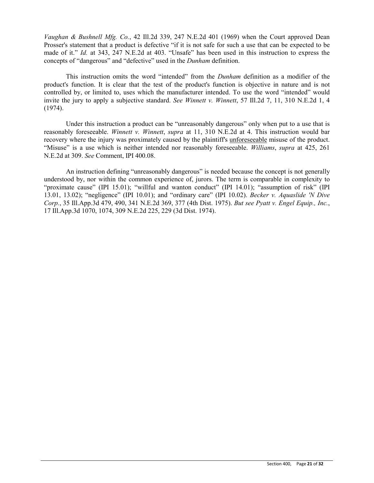*Vaughan & Bushnell Mfg. Co.*, 42 Ill.2d 339, 247 N.E.2d 401 (1969) when the Court approved Dean Prosser's statement that a product is defective "if it is not safe for such a use that can be expected to be made of it." *Id.* at 343, 247 N.E.2d at 403. "Unsafe" has been used in this instruction to express the concepts of "dangerous" and "defective" used in the *Dunham* definition.

This instruction omits the word "intended" from the *Dunham* definition as a modifier of the product's function. It is clear that the test of the product's function is objective in nature and is not controlled by, or limited to, uses which the manufacturer intended. To use the word "intended" would invite the jury to apply a subjective standard. *See Winnett v. Winnett*, 57 Ill.2d 7, 11, 310 N.E.2d 1, 4 (1974).

Under this instruction a product can be "unreasonably dangerous" only when put to a use that is reasonably foreseeable. *Winnett v. Winnett*, *supra* at 11, 310 N.E.2d at 4. This instruction would bar recovery where the injury was proximately caused by the plaintiff's unforeseeable misuse of the product. "Misuse" is a use which is neither intended nor reasonably foreseeable. *Williams*, *supra* at 425, 261 N.E.2d at 309. *See* Comment, IPI 400.08.

An instruction defining "unreasonably dangerous" is needed because the concept is not generally understood by, nor within the common experience of, jurors. The term is comparable in complexity to "proximate cause" (IPI 15.01); "willful and wanton conduct" (IPI 14.01); "assumption of risk" (IPI 13.01, 13.02); "negligence" (IPI 10.01); and "ordinary care" (IPI 10.02). *Becker v. Aquaslide 'N Dive Corp.*, 35 Ill.App.3d 479, 490, 341 N.E.2d 369, 377 (4th Dist. 1975). *But see Pyatt v. Engel Equip., Inc.*, 17 Ill.App.3d 1070, 1074, 309 N.E.2d 225, 229 (3d Dist. 1974).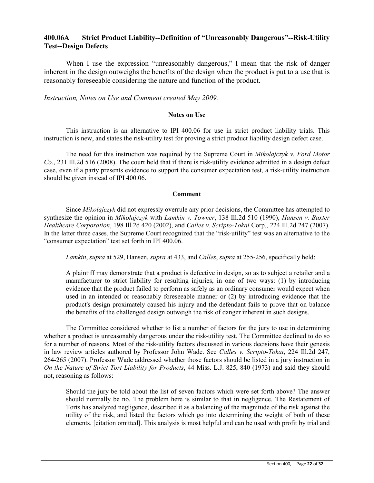# **400.06A Strict Product Liability--Definition of "Unreasonably Dangerous"--Risk-Utility Test--Design Defects**

When I use the expression "unreasonably dangerous," I mean that the risk of danger inherent in the design outweighs the benefits of the design when the product is put to a use that is reasonably foreseeable considering the nature and function of the product.

*Instruction, Notes on Use and Comment created May 2009.* 

### **Notes on Use**

This instruction is an alternative to IPI 400.06 for use in strict product liability trials. This instruction is new, and states the risk-utility test for proving a strict product liability design defect case.

The need for this instruction was required by the Supreme Court in *Mikolajczyk v. Ford Motor Co.*, 231 Ill.2d 516 (2008). The court held that if there is risk-utility evidence admitted in a design defect case, even if a party presents evidence to support the consumer expectation test, a risk-utility instruction should be given instead of IPI 400.06.

#### **Comment**

Since *Mikolajczyk* did not expressly overrule any prior decisions, the Committee has attempted to synthesize the opinion in *Mikolajczyk* with *Lamkin v. Towner*, 138 Ill.2d 510 (1990), *Hansen v. Baxter Healthcare Corporation*, 198 Ill.2d 420 (2002), and *Calles v. Scripto-Tokai* Corp., 224 Ill.2d 247 (2007). In the latter three cases, the Supreme Court recognized that the "risk-utility" test was an alternative to the "consumer expectation" test set forth in IPI 400.06.

*Lamkin*, *supra* at 529, Hansen, *supra* at 433, and *Calles*, *supra* at 255-256, specifically held:

A plaintiff may demonstrate that a product is defective in design, so as to subject a retailer and a manufacturer to strict liability for resulting injuries, in one of two ways: (1) by introducing evidence that the product failed to perform as safely as an ordinary consumer would expect when used in an intended or reasonably foreseeable manner or (2) by introducing evidence that the product's design proximately caused his injury and the defendant fails to prove that on balance the benefits of the challenged design outweigh the risk of danger inherent in such designs.

The Committee considered whether to list a number of factors for the jury to use in determining whether a product is unreasonably dangerous under the risk-utility test. The Committee declined to do so for a number of reasons. Most of the risk-utility factors discussed in various decisions have their genesis in law review articles authored by Professor John Wade. See *Calles v. Scripto-Tokai*, 224 Ill.2d 247, 264-265 (2007). Professor Wade addressed whether those factors should be listed in a jury instruction in *On the Nature of Strict Tort Liability for Products*, 44 Miss. L.J. 825, 840 (1973) and said they should not, reasoning as follows:

Should the jury be told about the list of seven factors which were set forth above? The answer should normally be no. The problem here is similar to that in negligence. The Restatement of Torts has analyzed negligence, described it as a balancing of the magnitude of the risk against the utility of the risk, and listed the factors which go into determining the weight of both of these elements. [citation omitted]. This analysis is most helpful and can be used with profit by trial and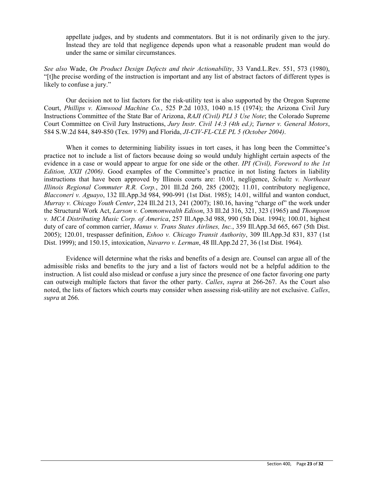appellate judges, and by students and commentators. But it is not ordinarily given to the jury. Instead they are told that negligence depends upon what a reasonable prudent man would do under the same or similar circumstances.

*See also* Wade, *On Product Design Defects and their Actionability*, 33 Vand.L.Rev. 551, 573 (1980), "[t]he precise wording of the instruction is important and any list of abstract factors of different types is likely to confuse a jury."

Our decision not to list factors for the risk-utility test is also supported by the Oregon Supreme Court, *Phillips v. Kimwood Machine Co.*, 525 P.2d 1033, 1040 n.15 (1974); the Arizona Civil Jury Instructions Committee of the State Bar of Arizona, *RAJI (Civil) PLI 3 Use Note*; the Colorado Supreme Court Committee on Civil Jury Instructions, *Jury Instr. Civil 14:3 (4th ed.)*; *Turner v. General Motors*, 584 S.W.2d 844, 849-850 (Tex. 1979) and Florida, *JI-CIV-FL-CLE PL 5 (October 2004)*.

When it comes to determining liability issues in tort cases, it has long been the Committee's practice not to include a list of factors because doing so would unduly highlight certain aspects of the evidence in a case or would appear to argue for one side or the other. *IPI (Civil), Foreword to the 1st Edition, XXII (2006)*. Good examples of the Committee's practice in not listing factors in liability instructions that have been approved by Illinois courts are: 10.01, negligence, *Schultz v. Northeast Illinois Regional Commuter R.R. Corp.*, 201 Ill.2d 260, 285 (2002); 11.01, contributory negligence, *Blacconeri v. Aguayo*, 132 Ill.App.3d 984, 990-991 (1st Dist. 1985); 14.01, willful and wanton conduct, *Murray v. Chicago Youth Center*, 224 Ill.2d 213, 241 (2007); 180.16, having "charge of" the work under the Structural Work Act, *Larson v. Commonwealth Edison*, 33 Ill.2d 316, 321, 323 (1965) and *Thompson v. MCA Distributing Music Corp. of America*, 257 Ill.App.3d 988, 990 (5th Dist. 1994); 100.01, highest duty of care of common carrier, *Manus v. Trans States Airlines, Inc.*, 359 Ill.App.3d 665, 667 (5th Dist. 2005); 120.01, trespasser definition, *Eshoo v. Chicago Transit Authority*, 309 Ill.App.3d 831, 837 (1st Dist. 1999); and 150.15, intoxication, *Navarro v. Lerman*, 48 Ill.App.2d 27, 36 (1st Dist. 1964).

Evidence will determine what the risks and benefits of a design are. Counsel can argue all of the admissible risks and benefits to the jury and a list of factors would not be a helpful addition to the instruction. A list could also mislead or confuse a jury since the presence of one factor favoring one party can outweigh multiple factors that favor the other party. *Calles*, *supra* at 266-267. As the Court also noted, the lists of factors which courts may consider when assessing risk-utility are not exclusive. *Calles*, *supra* at 266.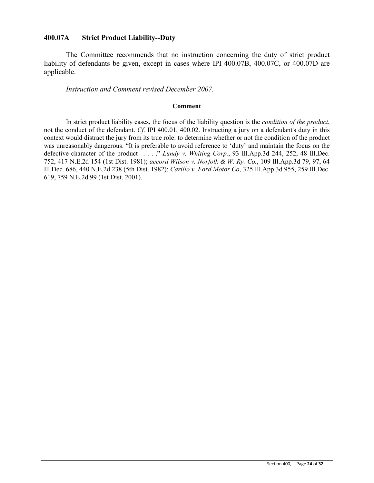### **400.07A Strict Product Liability--Duty**

The Committee recommends that no instruction concerning the duty of strict product liability of defendants be given, except in cases where IPI 400.07B, 400.07C, or 400.07D are applicable.

*Instruction and Comment revised December 2007.* 

#### **Comment**

In strict product liability cases, the focus of the liability question is the *condition of the product*, not the conduct of the defendant. *Cf.* IPI 400.01, 400.02. Instructing a jury on a defendant's duty in this context would distract the jury from its true role: to determine whether or not the condition of the product was unreasonably dangerous. "It is preferable to avoid reference to 'duty' and maintain the focus on the defective character of the product . . . ." *Lundy v. Whiting Corp.*, 93 Ill.App.3d 244, 252, 48 Ill.Dec. 752, 417 N.E.2d 154 (1st Dist. 1981); *accord Wilson v. Norfolk & W. Ry. Co.*, 109 Ill.App.3d 79, 97, 64 Ill.Dec. 686, 440 N.E.2d 238 (5th Dist. 1982); *Carillo v. Ford Motor Co*, 325 Ill.App.3d 955, 259 Ill.Dec. 619, 759 N.E.2d 99 (1st Dist. 2001).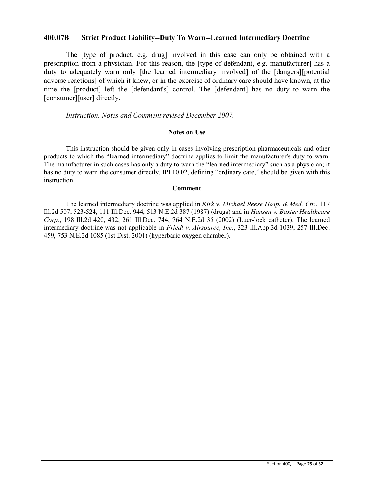### **400.07B Strict Product Liability--Duty To Warn--Learned Intermediary Doctrine**

The [type of product, e.g. drug] involved in this case can only be obtained with a prescription from a physician. For this reason, the [type of defendant, e.g. manufacturer] has a duty to adequately warn only [the learned intermediary involved] of the [dangers][potential adverse reactions] of which it knew, or in the exercise of ordinary care should have known, at the time the [product] left the [defendant's] control. The [defendant] has no duty to warn the [consumer][user] directly.

*Instruction, Notes and Comment revised December 2007.* 

#### **Notes on Use**

This instruction should be given only in cases involving prescription pharmaceuticals and other products to which the "learned intermediary" doctrine applies to limit the manufacturer's duty to warn. The manufacturer in such cases has only a duty to warn the "learned intermediary" such as a physician; it has no duty to warn the consumer directly. IPI 10.02, defining "ordinary care," should be given with this instruction.

### **Comment**

The learned intermediary doctrine was applied in *Kirk v. Michael Reese Hosp. & Med. Ctr.*, 117 Ill.2d 507, 523-524, 111 Ill.Dec. 944, 513 N.E.2d 387 (1987) (drugs) and in *Hansen v. Baxter Healthcare Corp.*, 198 Ill.2d 420, 432, 261 Ill.Dec. 744, 764 N.E.2d 35 (2002) (Luer-lock catheter). The learned intermediary doctrine was not applicable in *Friedl v. Airsource, Inc.*, 323 Ill.App.3d 1039, 257 Ill.Dec. 459, 753 N.E.2d 1085 (1st Dist. 2001) (hyperbaric oxygen chamber).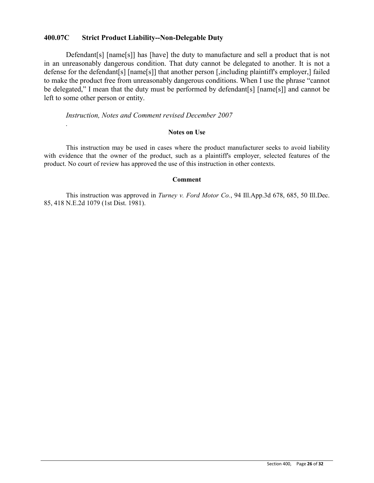### **400.07C Strict Product Liability--Non-Delegable Duty**

Defendant [s] [name [s]] has [have] the duty to manufacture and sell a product that is not in an unreasonably dangerous condition. That duty cannot be delegated to another. It is not a defense for the defendant[s] [name[s]] that another person [,including plaintiff's employer,] failed to make the product free from unreasonably dangerous conditions. When I use the phrase "cannot be delegated," I mean that the duty must be performed by defendant[s] [name[s]] and cannot be left to some other person or entity.

### *Instruction, Notes and Comment revised December 2007*

#### **Notes on Use**

This instruction may be used in cases where the product manufacturer seeks to avoid liability with evidence that the owner of the product, such as a plaintiff's employer, selected features of the product. No court of review has approved the use of this instruction in other contexts.

### **Comment**

This instruction was approved in *Turney v. Ford Motor Co.*, 94 Ill.App.3d 678, 685, 50 Ill.Dec. 85, 418 N.E.2d 1079 (1st Dist. 1981).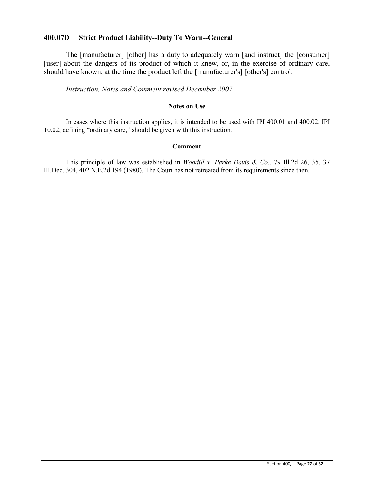### **400.07D Strict Product Liability--Duty To Warn--General**

The [manufacturer] [other] has a duty to adequately warn [and instruct] the [consumer] [user] about the dangers of its product of which it knew, or, in the exercise of ordinary care, should have known, at the time the product left the [manufacturer's] [other's] control.

*Instruction, Notes and Comment revised December 2007.* 

### **Notes on Use**

In cases where this instruction applies, it is intended to be used with IPI 400.01 and 400.02. IPI 10.02, defining "ordinary care," should be given with this instruction.

### **Comment**

This principle of law was established in *Woodill v. Parke Davis & Co.*, 79 Ill.2d 26, 35, 37 Ill.Dec. 304, 402 N.E.2d 194 (1980). The Court has not retreated from its requirements since then.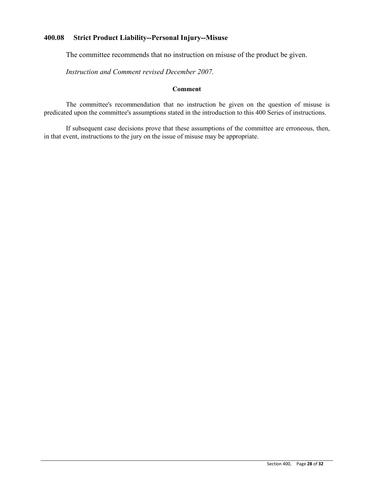# **400.08 Strict Product Liability--Personal Injury--Misuse**

The committee recommends that no instruction on misuse of the product be given.

*Instruction and Comment revised December 2007.* 

### **Comment**

The committee's recommendation that no instruction be given on the question of misuse is predicated upon the committee's assumptions stated in the introduction to this 400 Series of instructions.

If subsequent case decisions prove that these assumptions of the committee are erroneous, then, in that event, instructions to the jury on the issue of misuse may be appropriate.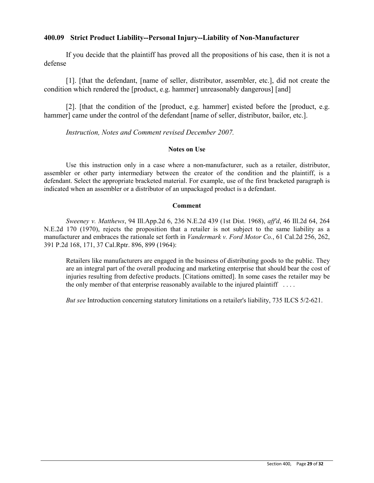### **400.09 Strict Product Liability--Personal Injury--Liability of Non-Manufacturer**

If you decide that the plaintiff has proved all the propositions of his case, then it is not a defense

[1]. [that the defendant, [name of seller, distributor, assembler, etc.], did not create the condition which rendered the [product, e.g. hammer] unreasonably dangerous] [and]

[2]. [that the condition of the [product, e.g. hammer] existed before the [product, e.g. hammer] came under the control of the defendant [name of seller, distributor, bailor, etc.].

*Instruction, Notes and Comment revised December 2007.*

### **Notes on Use**

Use this instruction only in a case where a non-manufacturer, such as a retailer, distributor, assembler or other party intermediary between the creator of the condition and the plaintiff, is a defendant. Select the appropriate bracketed material. For example, use of the first bracketed paragraph is indicated when an assembler or a distributor of an unpackaged product is a defendant.

### **Comment**

*Sweeney v. Matthews*, 94 Ill.App.2d 6, 236 N.E.2d 439 (1st Dist. 1968), *aff'd*, 46 Ill.2d 64, 264 N.E.2d 170 (1970), rejects the proposition that a retailer is not subject to the same liability as a manufacturer and embraces the rationale set forth in *Vandermark v. Ford Motor Co.*, 61 Cal.2d 256, 262, 391 P.2d 168, 171, 37 Cal.Rptr. 896, 899 (1964):

Retailers like manufacturers are engaged in the business of distributing goods to the public. They are an integral part of the overall producing and marketing enterprise that should bear the cost of injuries resulting from defective products. [Citations omitted]. In some cases the retailer may be the only member of that enterprise reasonably available to the injured plaintiff . . . .

*But see* Introduction concerning statutory limitations on a retailer's liability, 735 ILCS 5/2-621.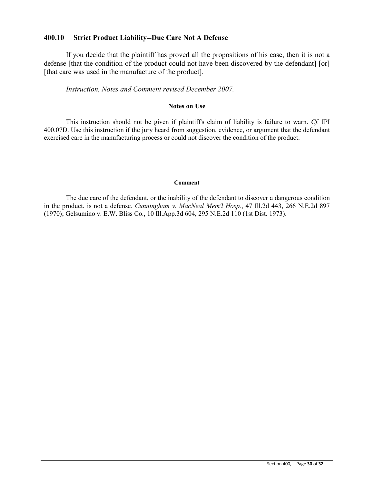### **400.10 Strict Product Liability--Due Care Not A Defense**

If you decide that the plaintiff has proved all the propositions of his case, then it is not a defense [that the condition of the product could not have been discovered by the defendant] [or] [that care was used in the manufacture of the product].

### *Instruction, Notes and Comment revised December 2007.*

#### **Notes on Use**

This instruction should not be given if plaintiff's claim of liability is failure to warn. *Cf.* IPI 400.07D. Use this instruction if the jury heard from suggestion, evidence, or argument that the defendant exercised care in the manufacturing process or could not discover the condition of the product.

#### **Comment**

The due care of the defendant, or the inability of the defendant to discover a dangerous condition in the product, is not a defense. *Cunningham v. MacNeal Mem'l Hosp.*, 47 Ill.2d 443, 266 N.E.2d 897 (1970); Gelsumino v. E.W. Bliss Co., 10 Ill.App.3d 604, 295 N.E.2d 110 (1st Dist. 1973).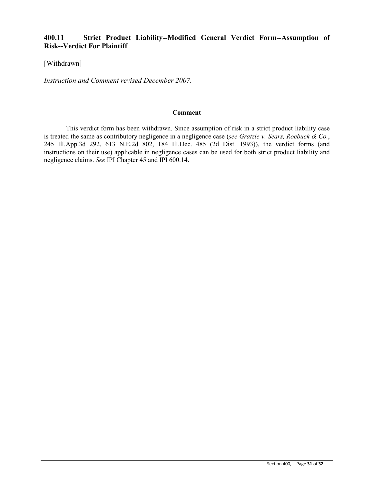# **400.11 Strict Product Liability--Modified General Verdict Form--Assumption of Risk--Verdict For Plaintiff**

[Withdrawn]

*Instruction and Comment revised December 2007.* 

#### **Comment**

This verdict form has been withdrawn. Since assumption of risk in a strict product liability case is treated the same as contributory negligence in a negligence case (*see Gratzle v. Sears, Roebuck & Co.*, 245 Ill.App.3d 292, 613 N.E.2d 802, 184 Ill.Dec. 485 (2d Dist. 1993)), the verdict forms (and instructions on their use) applicable in negligence cases can be used for both strict product liability and negligence claims. *See* IPI Chapter 45 and IPI 600.14.